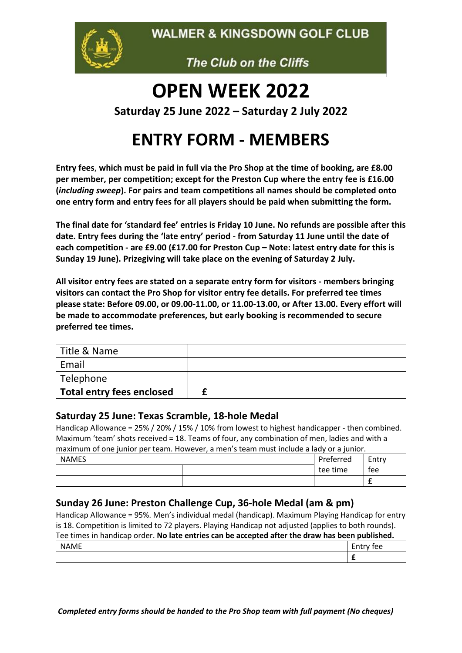**WALMER & KINGSDOWN GOLF CLUB** 



The Club on the Cliffs

# **OPEN WEEK 2022**

**Saturday 25 June 2022 – Saturday 2 July 2022**

# **ENTRY FORM - MEMBERS**

**Entry fees**, **which must be paid in full via the Pro Shop at the time of booking, are £8.00 per member, per competition; except for the Preston Cup where the entry fee is £16.00 (***including sweep***). For pairs and team competitions all names should be completed onto one entry form and entry fees for all players should be paid when submitting the form.** 

**The final date for 'standard fee' entries is Friday 10 June. No refunds are possible after this date. Entry fees during the 'late entry' period - from Saturday 11 June until the date of each competition - are £9.00 (£17.00 for Preston Cup – Note: latest entry date for this is Sunday 19 June). Prizegiving will take place on the evening of Saturday 2 July.**

**All visitor entry fees are stated on a separate entry form for visitors - members bringing visitors can contact the Pro Shop for visitor entry fee details. For preferred tee times please state: Before 09.00, or 09.00-11.00, or 11.00-13.00, or After 13.00. Every effort will be made to accommodate preferences, but early booking is recommended to secure preferred tee times.** 

| Title & Name              |  |
|---------------------------|--|
| Email                     |  |
| Telephone                 |  |
| Total entry fees enclosed |  |

#### **Saturday 25 June: Texas Scramble, 18-hole Medal**

Handicap Allowance = 25% / 20% / 15% / 10% from lowest to highest handicapper - then combined. Maximum 'team' shots received = 18. Teams of four, any combination of men, ladies and with a maximum of one junior per team. However, a men's team must include a lady or a junior.

| <b>NAMES</b> | Preferred | Entry |
|--------------|-----------|-------|
|              | tee time  | fee   |
|              |           |       |

# **Sunday 26 June: Preston Challenge Cup, 36-hole Medal (am & pm)**

Handicap Allowance = 95%. Men's individual medal (handicap). Maximum Playing Handicap for entry is 18. Competition is limited to 72 players. Playing Handicap not adjusted (applies to both rounds). Tee times in handicap order. **No late entries can be accepted after the draw has been published.**

| $\sim$ $-$ | ~~<br>l<br>∼<br> |
|------------|------------------|
|            |                  |